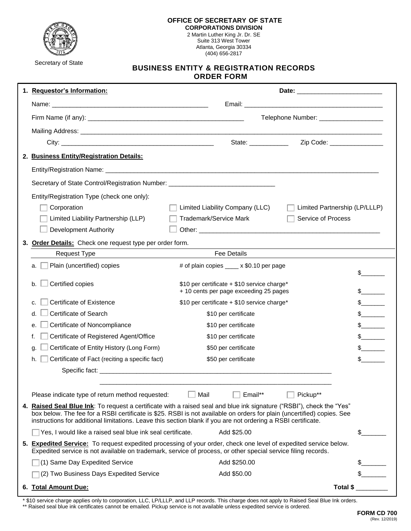

Suite 313 West Tower Atlanta, Georgia 30334 (404) 656-2817

Secretary of State

## **BUSINESS ENTITY & REGISTRATION RECORDS ORDER FORM**

| 1. Requestor's Information:                                                                                                                                                                                                                                                                                                                                      |                                                                                                                                                                                                                                   |                               |               |  |
|------------------------------------------------------------------------------------------------------------------------------------------------------------------------------------------------------------------------------------------------------------------------------------------------------------------------------------------------------------------|-----------------------------------------------------------------------------------------------------------------------------------------------------------------------------------------------------------------------------------|-------------------------------|---------------|--|
|                                                                                                                                                                                                                                                                                                                                                                  |                                                                                                                                                                                                                                   |                               |               |  |
|                                                                                                                                                                                                                                                                                                                                                                  | Telephone Number: _________________                                                                                                                                                                                               |                               |               |  |
|                                                                                                                                                                                                                                                                                                                                                                  |                                                                                                                                                                                                                                   |                               |               |  |
|                                                                                                                                                                                                                                                                                                                                                                  | State: ___________                                                                                                                                                                                                                | Zip Code: _________________   |               |  |
| 2. Business Entity/Registration Details:                                                                                                                                                                                                                                                                                                                         |                                                                                                                                                                                                                                   |                               |               |  |
|                                                                                                                                                                                                                                                                                                                                                                  |                                                                                                                                                                                                                                   |                               |               |  |
| Secretary of State Control/Registration Number: ________________________________                                                                                                                                                                                                                                                                                 |                                                                                                                                                                                                                                   |                               |               |  |
| Entity/Registration Type (check one only):                                                                                                                                                                                                                                                                                                                       |                                                                                                                                                                                                                                   |                               |               |  |
| Corporation                                                                                                                                                                                                                                                                                                                                                      | Limited Liability Company (LLC)                                                                                                                                                                                                   | Limited Partnership (LP/LLLP) |               |  |
| Limited Liability Partnership (LLP)                                                                                                                                                                                                                                                                                                                              | <b>Trademark/Service Mark</b>                                                                                                                                                                                                     | <b>Service of Process</b>     |               |  |
| <b>Development Authority</b>                                                                                                                                                                                                                                                                                                                                     |                                                                                                                                                                                                                                   |                               |               |  |
| 3. Order Details: Check one request type per order form.                                                                                                                                                                                                                                                                                                         |                                                                                                                                                                                                                                   |                               |               |  |
| <b>Request Type</b>                                                                                                                                                                                                                                                                                                                                              | <b>Fee Details</b>                                                                                                                                                                                                                |                               |               |  |
| Plain (uncertified) copies<br>a.                                                                                                                                                                                                                                                                                                                                 | # of plain copies ____ x \$0.10 per page                                                                                                                                                                                          |                               | \$            |  |
| Certified copies<br>b.                                                                                                                                                                                                                                                                                                                                           | \$10 per certificate + \$10 service charge*<br>+ 10 cents per page exceeding 25 pages                                                                                                                                             |                               | $\frac{1}{2}$ |  |
| Certificate of Existence<br>c.                                                                                                                                                                                                                                                                                                                                   | \$10 per certificate + \$10 service charge*                                                                                                                                                                                       |                               | $\frac{1}{2}$ |  |
| Certificate of Search<br>d.                                                                                                                                                                                                                                                                                                                                      | \$10 per certificate                                                                                                                                                                                                              |                               | $\frac{1}{2}$ |  |
| Certificate of Noncompliance<br>e.                                                                                                                                                                                                                                                                                                                               | \$10 per certificate                                                                                                                                                                                                              |                               | s             |  |
| Certificate of Registered Agent/Office<br>f.                                                                                                                                                                                                                                                                                                                     | \$10 per certificate                                                                                                                                                                                                              |                               | $\frac{1}{2}$ |  |
| Certificate of Entity History (Long Form)<br>g.                                                                                                                                                                                                                                                                                                                  | \$50 per certificate                                                                                                                                                                                                              |                               | $\frac{1}{2}$ |  |
| Certificate of Fact (reciting a specific fact)<br>h.                                                                                                                                                                                                                                                                                                             | \$50 per certificate                                                                                                                                                                                                              |                               | $\frac{1}{2}$ |  |
|                                                                                                                                                                                                                                                                                                                                                                  | Specific fact: the contract of the contract of the contract of the contract of the contract of the contract of                                                                                                                    |                               |               |  |
| Please indicate type of return method requested:                                                                                                                                                                                                                                                                                                                 | Email**<br>Mail                                                                                                                                                                                                                   | Pickup**                      |               |  |
| 4. Raised Seal Blue Ink: To request a certificate with a raised seal and blue ink signature ("RSBI"), check the "Yes"<br>box below. The fee for a RSBI certificate is \$25. RSBI is not available on orders for plain (uncertified) copies. See<br>instructions for additional limitations. Leave this section blank if you are not ordering a RSBI certificate. |                                                                                                                                                                                                                                   |                               |               |  |
| Yes, I would like a raised seal blue ink seal certificate.                                                                                                                                                                                                                                                                                                       | Add \$25.00                                                                                                                                                                                                                       |                               | \$            |  |
|                                                                                                                                                                                                                                                                                                                                                                  | 5. Expedited Service: To request expedited processing of your order, check one level of expedited service below.<br>Expedited service is not available on trademark, service of process, or other special service filing records. |                               |               |  |
| (1) Same Day Expedited Service                                                                                                                                                                                                                                                                                                                                   | Add \$250.00                                                                                                                                                                                                                      |                               | S.            |  |
| (2) Two Business Days Expedited Service                                                                                                                                                                                                                                                                                                                          | Add \$50.00                                                                                                                                                                                                                       |                               |               |  |
| 6. Total Amount Due:                                                                                                                                                                                                                                                                                                                                             |                                                                                                                                                                                                                                   | Total \$                      |               |  |

\* \$10 service charge applies only to corporation, LLC, LP/LLLP, and LLP records. This charge does not apply to Raised Seal Blue Ink orders. \*\* Raised seal blue ink certificates cannot be emailed. Pickup service is not available unless expedited service is ordered.